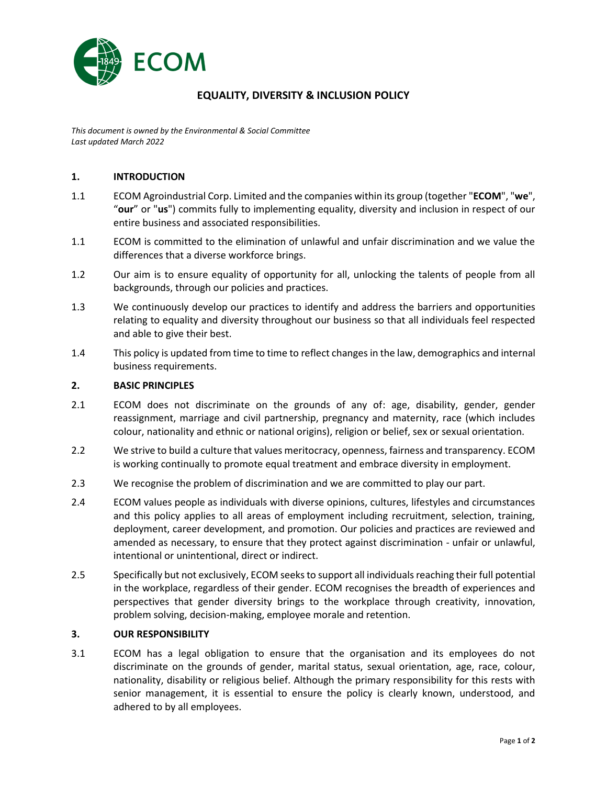

# **EQUALITY, DIVERSITY & INCLUSION POLICY**

*This document is owned by the Environmental & Social Committee Last updated March 2022*

## **1. INTRODUCTION**

- 1.1 ECOM Agroindustrial Corp. Limited and the companies within its group (together "**ECOM**", "**we**", "**our**" or "**us**") commits fully to implementing equality, diversity and inclusion in respect of our entire business and associated responsibilities.
- 1.1 ECOM is committed to the elimination of unlawful and unfair discrimination and we value the differences that a diverse workforce brings.
- 1.2 Our aim is to ensure equality of opportunity for all, unlocking the talents of people from all backgrounds, through our policies and practices.
- 1.3 We continuously develop our practices to identify and address the barriers and opportunities relating to equality and diversity throughout our business so that all individuals feel respected and able to give their best.
- 1.4 This policy is updated from time to time to reflect changes in the law, demographics and internal business requirements.

#### **2. BASIC PRINCIPLES**

- 2.1 ECOM does not discriminate on the grounds of any of: age, disability, gender, gender reassignment, marriage and civil partnership, pregnancy and maternity, race (which includes colour, nationality and ethnic or national origins), religion or belief, sex or sexual orientation.
- 2.2 We strive to build a culture that values meritocracy, openness, fairness and transparency. ECOM is working continually to promote equal treatment and embrace diversity in employment.
- 2.3 We recognise the problem of discrimination and we are committed to play our part.
- 2.4 ECOM values people as individuals with diverse opinions, cultures, lifestyles and circumstances and this policy applies to all areas of employment including recruitment, selection, training, deployment, career development, and promotion. Our policies and practices are reviewed and amended as necessary, to ensure that they protect against discrimination - unfair or unlawful, intentional or unintentional, direct or indirect.
- 2.5 Specifically but not exclusively, ECOM seeks to support all individuals reaching their full potential in the workplace, regardless of their gender. ECOM recognises the breadth of experiences and perspectives that gender diversity brings to the workplace through creativity, innovation, problem solving, decision-making, employee morale and retention.

## **3. OUR RESPONSIBILITY**

3.1 ECOM has a legal obligation to ensure that the organisation and its employees do not discriminate on the grounds of gender, marital status, sexual orientation, age, race, colour, nationality, disability or religious belief. Although the primary responsibility for this rests with senior management, it is essential to ensure the policy is clearly known, understood, and adhered to by all employees.